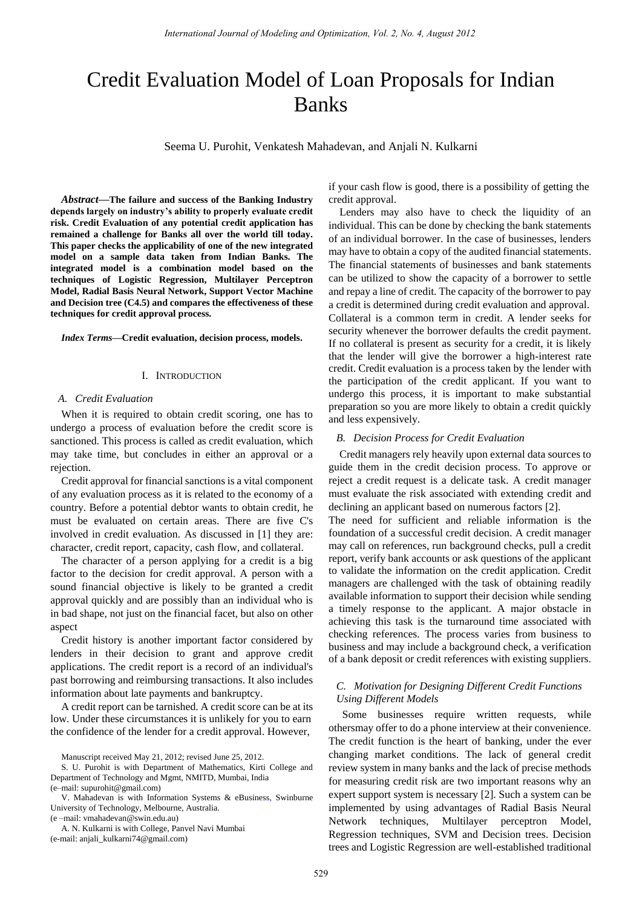# Credit Evaluation Model of Loan Proposals for Indian Banks

Seema U. Purohit, Venkatesh Mahadevan, and Anjali N. Kulkarni

*Abstract***—The failure and success of the Banking Industry depends largely on industry's ability to properly evaluate credit risk. Credit Evaluation of any potential credit application has remained a challenge for Banks all over the world till today. This paper checks the applicability of one of the new integrated model on a sample data taken from Indian Banks. The integrated model is a combination model based on the techniques of Logistic Regression, Multilayer Perceptron Model, Radial Basis Neural Network, Support Vector Machine and Decision tree (C4.5) and compares the effectiveness of these techniques for credit approval process.** 

## *Index Terms—***Credit evaluation, decision process, models.**

## I. INTRODUCTION

## *A. Credit Evaluation*

When it is required to obtain credit scoring, one has to undergo a process of evaluation before the credit score is sanctioned. This process is called as credit evaluation, which may take time, but concludes in either an approval or a rejection.

Credit approval for financial sanctions is a vital component of any evaluation process as it is related to the economy of a country. Before a potential debtor wants to obtain credit, he must be evaluated on certain areas. There are five C's involved in credit evaluation. As discussed in [1] they are: character, credit report, capacity, cash flow, and collateral.

The character of a person applying for a credit is a big factor to the decision for credit approval. A person with a sound financial objective is likely to be granted a credit approval quickly and are possibly than an individual who is in bad shape, not just on the financial facet, but also on other aspect

Credit history is another important factor considered by lenders in their decision to grant and approve credit applications. The credit report is a record of an individual's past borrowing and reimbursing transactions. It also includes information about late payments and bankruptcy.

A credit report can be tarnished. A credit score can be at its low. Under these circumstances it is unlikely for you to earn the confidence of the lender for a credit approval. However,

(e –mail: vmahadevan@swin.edu.au)

A. N. Kulkarni is with College, Panvel Navi Mumbai (e-mail: [anjali\\_kulkarni74@gmail.com\)](mailto:anjali_kulkarni74@gmail.com)

if your cash flow is good, there is a possibility of getting the credit approval.

Lenders may also have to check the liquidity of an individual. This can be done by checking the bank statements of an individual borrower. In the case of businesses, lenders may have to obtain a copy of the audited financial statements. The financial statements of businesses and bank statements can be utilized to show the capacity of a borrower to settle and repay a line of credit. The capacity of the borrower to pay a credit is determined during credit evaluation and approval. Collateral is a common term in credit. A lender seeks for security whenever the borrower defaults the credit payment. If no collateral is present as security for a credit, it is likely that the lender will give the borrower a high-interest rate credit. Credit evaluation is a process taken by the lender with the participation of the credit applicant. If you want to undergo this process, it is important to make substantial preparation so you are more likely to obtain a credit quickly and less expensively.

# *B. Decision Process for Credit Evaluation*

Credit managers rely heavily upon external data sources to guide them in the credit decision process. To approve or reject a credit request is a delicate task. A credit manager must evaluate the risk associated with extending credit and declining an applicant based on numerous factors [2].

The need for sufficient and reliable information is the foundation of a successful credit decision. A credit manager may call on references, run background checks, pull a credit report, verify bank accounts or ask questions of the applicant to validate the information on the credit application. Credit managers are challenged with the task of obtaining readily available information to support their decision while sending a timely response to the applicant. A major obstacle in achieving this task is the turnaround time associated with checking references. The process varies from business to business and may include a background check, a verification of a bank deposit or credit references with existing suppliers.

# *C. Motivation for Designing Different Credit Functions Using Different Models*

 Some businesses require written requests, while othersmay offer to do a phone interview at their convenience. The credit function is the heart of banking, under the ever changing market conditions. The lack of general credit review system in many banks and the lack of precise methods for measuring credit risk are two important reasons why an expert support system is necessary [2]. Such a system can be implemented by using advantages of Radial Basis Neural Network techniques, Multilayer perceptron Model, Regression techniques, SVM and Decision trees. Decision trees and Logistic Regression are well-established traditional

Manuscript received May 21, 2012; revised June 25, 2012.

S. U. Purohit is with Department of Mathematics, Kirti College and Department of Technology and Mgmt, NMITD, Mumbai, India (e–mail[: supurohit@gmail.com\)](mailto:supurohit@gmail.com)

V. Mahadevan is with Information Systems & eBusiness, Swinburne University of Technology, Melbourne, Australia.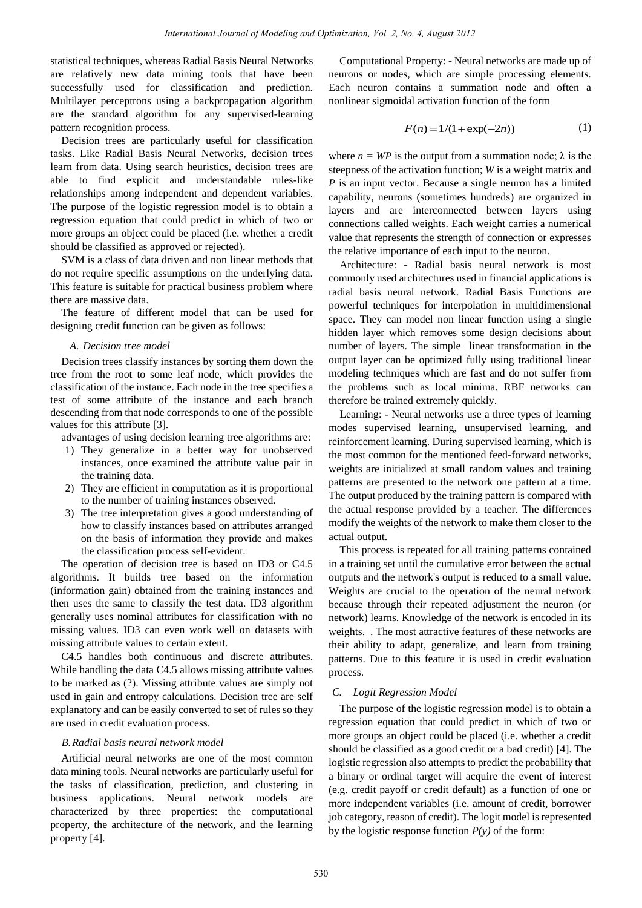statistical techniques, whereas Radial Basis Neural Networks are relatively new data mining tools that have been successfully used for classification and prediction. Multilayer perceptrons using a backpropagation algorithm are the standard algorithm for any supervised-learning pattern recognition process.

Decision trees are particularly useful for classification tasks. Like Radial Basis Neural Networks, decision trees learn from data. Using search heuristics, decision trees are able to find explicit and understandable rules-like relationships among independent and dependent variables. The purpose of the logistic regression model is to obtain a regression equation that could predict in which of two or more groups an object could be placed (i.e. whether a credit should be classified as approved or rejected).

SVM is a class of data driven and non linear methods that do not require specific assumptions on the underlying data. This feature is suitable for practical business problem where there are massive data.

The feature of different model that can be used for designing credit function can be given as follows:

## *A. Decision tree model*

Decision trees classify instances by sorting them down the tree from the root to some leaf node, which provides the classification of the instance. Each node in the tree specifies a test of some attribute of the instance and each branch descending from that node corresponds to one of the possible values for this attribute [3].

advantages of using decision learning tree algorithms are:

- 1) They generalize in a better way for unobserved instances, once examined the attribute value pair in the training data.
- 2) They are efficient in computation as it is proportional to the number of training instances observed.
- 3) The tree interpretation gives a good understanding of how to classify instances based on attributes arranged on the basis of information they provide and makes the classification process self-evident.

The operation of decision tree is based on ID3 or C4.5 algorithms. It builds tree based on the information (information gain) obtained from the training instances and then uses the same to classify the test data. ID3 algorithm generally uses nominal attributes for classification with no missing values. ID3 can even work well on datasets with missing attribute values to certain extent.

C4.5 handles both continuous and discrete attributes. While handling the data C4.5 allows missing attribute values to be marked as (?). Missing attribute values are simply not used in gain and entropy calculations. Decision tree are self explanatory and can be easily converted to set of rules so they are used in credit evaluation process.

## *B.Radial basis neural network model*

Artificial neural networks are one of the most common data mining tools. Neural networks are particularly useful for the tasks of classification, prediction, and clustering in business applications. Neural network models are characterized by three properties: the computational property, the architecture of the network, and the learning property [4].

Computational Property: - Neural networks are made up of neurons or nodes, which are simple processing elements. Each neuron contains a summation node and often a nonlinear sigmoidal activation function of the form

$$
F(n) = 1/(1 + \exp(-2n))
$$
 (1)

where  $n = WP$  is the output from a summation node;  $\lambda$  is the steepness of the activation function; *W* is a weight matrix and *P* is an input vector. Because a single neuron has a limited capability, neurons (sometimes hundreds) are organized in layers and are interconnected between layers using connections called weights. Each weight carries a numerical value that represents the strength of connection or expresses the relative importance of each input to the neuron.

Architecture: - Radial basis neural network is most commonly used architectures used in financial applications is radial basis neural network. Radial Basis Functions are powerful techniques for interpolation in multidimensional space. They can model non linear function using a single hidden layer which removes some design decisions about number of layers. The simple linear transformation in the output layer can be optimized fully using traditional linear modeling techniques which are fast and do not suffer from the problems such as local minima. RBF networks can therefore be trained extremely quickly.

Learning: - Neural networks use a three types of learning modes supervised learning, unsupervised learning, and reinforcement learning. During supervised learning, which is the most common for the mentioned feed-forward networks, weights are initialized at small random values and training patterns are presented to the network one pattern at a time. The output produced by the training pattern is compared with the actual response provided by a teacher. The differences modify the weights of the network to make them closer to the actual output.

This process is repeated for all training patterns contained in a training set until the cumulative error between the actual outputs and the network's output is reduced to a small value. Weights are crucial to the operation of the neural network because through their repeated adjustment the neuron (or network) learns. Knowledge of the network is encoded in its weights. . The most attractive features of these networks are their ability to adapt, generalize, and learn from training patterns. Due to this feature it is used in credit evaluation process.

# *C. Logit Regression Model*

The purpose of the logistic regression model is to obtain a regression equation that could predict in which of two or more groups an object could be placed (i.e. whether a credit should be classified as a good credit or a bad credit) [4]. The logistic regression also attempts to predict the probability that a binary or ordinal target will acquire the event of interest (e.g. credit payoff or credit default) as a function of one or more independent variables (i.e. amount of credit, borrower job category, reason of credit). The logit model is represented by the logistic response function  $P(y)$  of the form: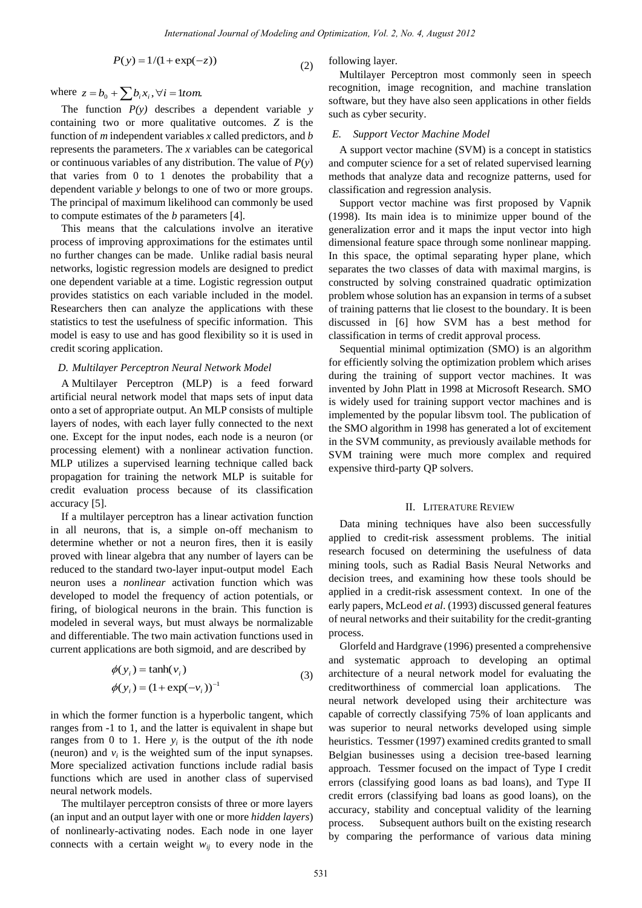$$
P(y) = 1/(1 + \exp(-z))
$$
 (2)

where  $z = b_0 + \sum b_i x_i$ ,  $\forall i = 1$ *tom*.

The function *P(y)* describes a dependent variable *y* containing two or more qualitative outcomes. *Z* is the function of *m* independent variables *x* called predictors, and *b* represents the parameters. The *x* variables can be categorical or continuous variables of any distribution. The value of *P*(*y*) that varies from 0 to 1 denotes the probability that a dependent variable *y* belongs to one of two or more groups. The principal of maximum likelihood can commonly be used to compute estimates of the *b* parameters [4].

This means that the calculations involve an iterative process of improving approximations for the estimates until no further changes can be made. Unlike radial basis neural networks, logistic regression models are designed to predict one dependent variable at a time. Logistic regression output provides statistics on each variable included in the model. Researchers then can analyze the applications with these statistics to test the usefulness of specific information. This model is easy to use and has good flexibility so it is used in credit scoring application.

## *D. Multilayer Perceptron Neural Network Model*

A Multilayer Perceptron (MLP) is a [feed forward](http://en.wikipedia.org/wiki/Feedforward_neural_network) [artificial neural network](http://en.wikipedia.org/wiki/Artificial_neural_network) model that maps sets of input data onto a set of appropriate output. An MLP consists of multiple layers of nodes, with each layer fully connected to the next one. Except for the input nodes, each node is a neuron (or processing element) with a nonlinear [activation function.](http://en.wikipedia.org/wiki/Activation_function) MLP utilizes a [supervised learning](http://en.wikipedia.org/wiki/Supervised_learning) technique called [back](http://en.wikipedia.org/wiki/Backpropagation)  [propagation](http://en.wikipedia.org/wiki/Backpropagation) for training the network MLP is suitable for credit evaluation process because of its classification accuracy [5].

If a multilayer perceptron has a linear [activation function](http://en.wikipedia.org/wiki/Activation_function) in all neurons, that is, a simple on-off mechanism to determine whether or not a neuron fires, then it is easily proved with [linear algebra](http://en.wikipedia.org/wiki/Linear_algebra) that any number of layers can be reduced to the standard two-layer input-output model Each neuron uses a *nonlinear* activation function which was developed to model the frequency of [action potentials,](http://en.wikipedia.org/wiki/Action_potentials) or firing, of biological neurons in the brain. This function is modeled in several ways, but must always be normalizable and differentiable. The two main activation functions used in current applications are both [sigmoid,](http://en.wikipedia.org/wiki/Sigmoids) and are described by

$$
\phi(y_i) = \tanh(v_i)
$$
  
\n
$$
\phi(y_i) = (1 + \exp(-v_i))^{-1}
$$
\n(3)

in which the former function is a [hyperbolic tangent,](http://en.wikipedia.org/wiki/Hyperbolic_tangent) which ranges from -1 to 1, and the latter is equivalent in shape but ranges from 0 to 1. Here  $y_i$  is the output of the *i*th node (neuron) and  $v_i$  is the weighted sum of the input synapses. More specialized activation functions include [radial basis](http://en.wikipedia.org/wiki/Radial_basis_functions)  [functions](http://en.wikipedia.org/wiki/Radial_basis_functions) which are used in another class of supervised neural network models.

The multilayer perceptron consists of three or more layers (an input and an output layer with one or more *hidden layers*) of nonlinearly-activating nodes. Each node in one layer connects with a certain weight  $w_{ij}$  to every node in the

following layer.

Multilayer Perceptron most commonly seen in [speech](http://en.wikipedia.org/wiki/Speech_recognition)  [recognition,](http://en.wikipedia.org/wiki/Speech_recognition) [image recognition,](http://en.wikipedia.org/wiki/Image_recognition) and [machine translation](http://en.wikipedia.org/wiki/Machine_translation) software, but they have also seen applications in other fields such a[s cyber security.](http://en.wikipedia.org/wiki/Cyber_security)

# *E. Support Vector Machine Model*

A support vector machine (SVM) is a concept in [statistics](http://en.wikipedia.org/wiki/Statistics) and [computer science](http://en.wikipedia.org/wiki/Computer_science) for a set of related [supervised learning](http://en.wikipedia.org/wiki/Supervised_learning) methods that analyze data and recognize patterns, used for [classification](http://en.wikipedia.org/wiki/Classification_(machine_learning)) and [regression analysis.](http://en.wikipedia.org/wiki/Regression_analysis) 

Support vector machine was first proposed by Vapnik (1998). Its main idea is to minimize upper bound of the generalization error and it maps the input vector into high dimensional feature space through some nonlinear mapping. In this space, the optimal separating hyper plane, which separates the two classes of data with maximal margins, is constructed by solving constrained quadratic optimization problem whose solution has an expansion in terms of a subset of training patterns that lie closest to the boundary. It is been discussed in [6] how SVM has a best method for classification in terms of credit approval process.

Sequential minimal optimization (SMO) is an algorithm for efficiently solving the optimization problem which arises during the training of [support vector machines.](http://en.wikipedia.org/wiki/Support_vector_machine) It was invented by [John Platt](http://en.wikipedia.org/wiki/John_Platt) in 1998 at [Microsoft Research.](http://en.wikipedia.org/wiki/Microsoft_Research) SMO is widely used for training support vector machines and is implemented by the popular libsvm tool. The publication of the SMO algorithm in 1998 has generated a lot of excitement in the SVM community, as previously available methods for SVM training were much more complex and required expensive third-party [QP](http://en.wikipedia.org/wiki/Quadratic_programming) solvers.

## II. LITERATURE REVIEW

Data mining techniques have also been successfully applied to credit-risk assessment problems. The initial research focused on determining the usefulness of data mining tools, such as Radial Basis Neural Networks and decision trees, and examining how these tools should be applied in a credit-risk assessment context. In one of the early papers, McLeod *et al*. (1993) discussed general features of neural networks and their suitability for the credit-granting process.

Glorfeld and Hardgrave (1996) presented a comprehensive and systematic approach to developing an optimal architecture of a neural network model for evaluating the creditworthiness of commercial loan applications. The neural network developed using their architecture was capable of correctly classifying 75% of loan applicants and was superior to neural networks developed using simple heuristics. Tessmer (1997) examined credits granted to small Belgian businesses using a decision tree-based learning approach. Tessmer focused on the impact of Type I credit errors (classifying good loans as bad loans), and Type II credit errors (classifying bad loans as good loans), on the accuracy, stability and conceptual validity of the learning process. Subsequent authors built on the existing research by comparing the performance of various data mining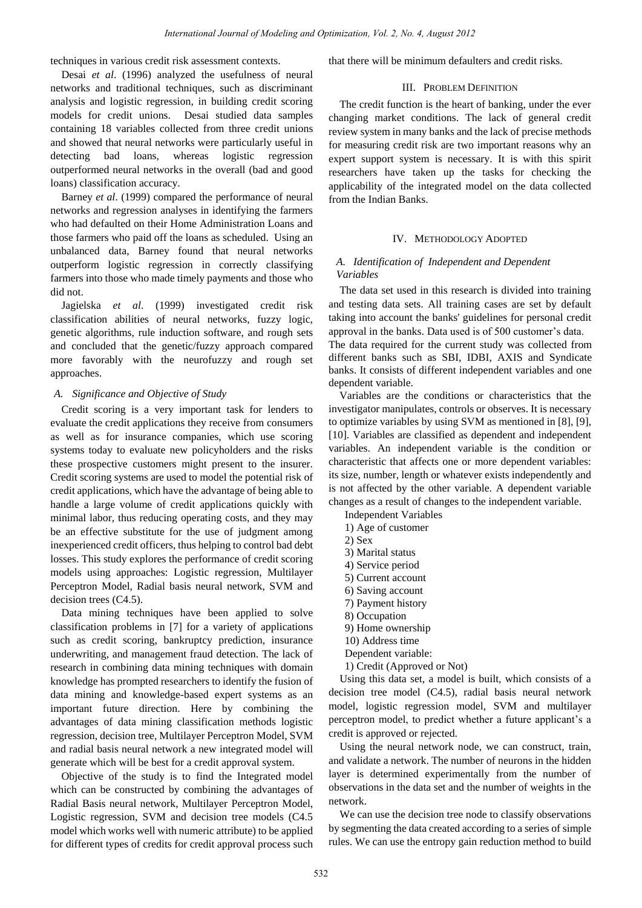techniques in various credit risk assessment contexts.

Desai *et al*. (1996) analyzed the usefulness of neural networks and traditional techniques, such as discriminant analysis and logistic regression, in building credit scoring models for credit unions. Desai studied data samples containing 18 variables collected from three credit unions and showed that neural networks were particularly useful in detecting bad loans, whereas logistic regression outperformed neural networks in the overall (bad and good loans) classification accuracy.

Barney *et al*. (1999) compared the performance of neural networks and regression analyses in identifying the farmers who had defaulted on their Home Administration Loans and those farmers who paid off the loans as scheduled. Using an unbalanced data, Barney found that neural networks outperform logistic regression in correctly classifying farmers into those who made timely payments and those who did not.

Jagielska *et al*. (1999) investigated credit risk classification abilities of neural networks, fuzzy logic, genetic algorithms, rule induction software, and rough sets and concluded that the genetic/fuzzy approach compared more favorably with the neurofuzzy and rough set approaches.

# *A. Significance and Objective of Study*

Credit scoring is a very important task for lenders to evaluate the credit applications they receive from consumers as well as for insurance companies, which use scoring systems today to evaluate new policyholders and the risks these prospective customers might present to the insurer. Credit scoring systems are used to model the potential risk of credit applications, which have the advantage of being able to handle a large volume of credit applications quickly with minimal labor, thus reducing operating costs, and they may be an effective substitute for the use of judgment among inexperienced credit officers, thus helping to control bad debt losses. This study explores the performance of credit scoring models using approaches: Logistic regression, Multilayer Perceptron Model, Radial basis neural network, SVM and decision trees (C4.5).

Data mining techniques have been applied to solve classification problems in [7] for a variety of applications such as credit scoring, bankruptcy prediction, insurance underwriting, and management fraud detection. The lack of research in combining data mining techniques with domain knowledge has prompted researchers to identify the fusion of data mining and knowledge-based expert systems as an important future direction. Here by combining the advantages of data mining classification methods logistic regression, decision tree, Multilayer Perceptron Model, SVM and radial basis neural network a new integrated model will generate which will be best for a credit approval system.

Objective of the study is to find the Integrated model which can be constructed by combining the advantages of Radial Basis neural network, Multilayer Perceptron Model, Logistic regression, SVM and decision tree models (C4.5 model which works well with numeric attribute) to be applied for different types of credits for credit approval process such that there will be minimum defaulters and credit risks.

# III. PROBLEM DEFINITION

The credit function is the heart of banking, under the ever changing market conditions. The lack of general credit review system in many banks and the lack of precise methods for measuring credit risk are two important reasons why an expert support system is necessary. It is with this spirit researchers have taken up the tasks for checking the applicability of the integrated model on the data collected from the Indian Banks.

# IV. METHODOLOGY ADOPTED

# *A. Identification of Independent and Dependent Variables*

The data set used in this research is divided into training and testing data sets. All training cases are set by default taking into account the banks' guidelines for personal credit approval in the banks. Data used is of 500 customer's data.

The data required for the current study was collected from different banks such as SBI, IDBI, AXIS and Syndicate banks. It consists of different independent variables and one dependent variable.

Variables are the conditions or characteristics that the investigator manipulates, controls or observes. It is necessary to optimize variables by using SVM as mentioned in [8], [9], [10]. Variables are classified as dependent and independent variables. An independent variable is the condition or characteristic that affects one or more dependent variables: its size, number, length or whatever exists independently and is not affected by the other variable. A dependent variable changes as a result of changes to the independent variable.

Independent Variables

- 1) Age of customer
- 2) Sex
- 3) Marital status
- 4) Service period
- 5) Current account
- 6) Saving account
- 7) Payment history
- 8) Occupation
- 9) Home ownership
- 10) Address time
- Dependent variable:
- 1) Credit (Approved or Not)

Using this data set, a model is built, which consists of a decision tree model (C4.5), radial basis neural network model, logistic regression model, SVM and multilayer perceptron model, to predict whether a future applicant's a credit is approved or rejected.

Using the neural network node, we can construct, train, and validate a network. The number of neurons in the hidden layer is determined experimentally from the number of observations in the data set and the number of weights in the network.

We can use the decision tree node to classify observations by segmenting the data created according to a series of simple rules. We can use the entropy gain reduction method to build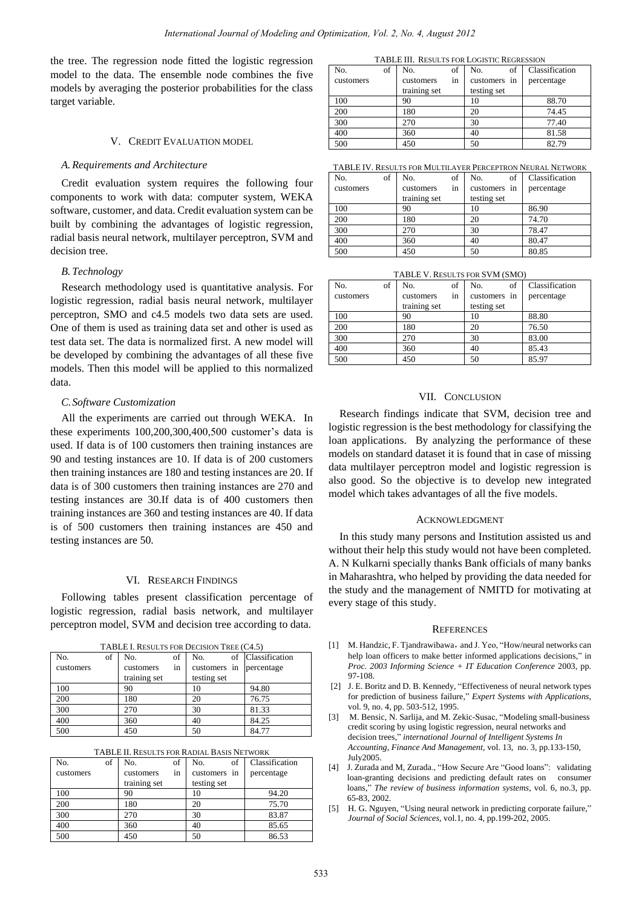the tree. The regression node fitted the logistic regression model to the data. The ensemble node combines the five models by averaging the posterior probabilities for the class target variable.

## V. CREDIT EVALUATION MODEL

#### *A.Requirements and Architecture*

Credit evaluation system requires the following four components to work with data: computer system, WEKA software, customer, and data. Credit evaluation system can be built by combining the advantages of logistic regression, radial basis neural network, multilayer perceptron, SVM and decision tree.

#### *B. Technology*

Research methodology used is quantitative analysis. For logistic regression, radial basis neural network, multilayer perceptron, SMO and c4.5 models two data sets are used. One of them is used as training data set and other is used as test data set. The data is normalized first. A new model will be developed by combining the advantages of all these five models. Then this model will be applied to this normalized data.

## *C.Software Customization*

All the experiments are carried out through WEKA. In these experiments 100,200,300,400,500 customer's data is used. If data is of 100 customers then training instances are 90 and testing instances are 10. If data is of 200 customers then training instances are 180 and testing instances are 20. If data is of 300 customers then training instances are 270 and testing instances are 30.If data is of 400 customers then training instances are 360 and testing instances are 40. If data is of 500 customers then training instances are 450 and testing instances are 50.

# VI. RESEARCH FINDINGS

Following tables present classification percentage of logistic regression, radial basis network, and multilayer perceptron model, SVM and decision tree according to data.

| No.       | οf | No.          | of | No.         | of Classification       |
|-----------|----|--------------|----|-------------|-------------------------|
| customers |    | customers    | in |             | customers in percentage |
|           |    | training set |    | testing set |                         |
| 100       |    | 90           |    | 10          | 94.80                   |
| 200       |    | 180          |    | 20          | 76.75                   |
| 300       |    | 270          |    | 30          | 81.33                   |
| 400       |    | 360          |    | 40          | 84.25                   |
| 500       |    | 450          |    | 50          | 84.77                   |

TABLE I. RESULTS FOR DECISION TREE (C4.5)

TABLE II. RESULTS FOR RADIAL BASIS NETWORK

| No.       | of | No.          | of | of<br>No.    | Classification |
|-----------|----|--------------|----|--------------|----------------|
| customers |    | customers    | in | customers in | percentage     |
|           |    | training set |    | testing set  |                |
| 100       |    | 90           |    | 10           | 94.20          |
| 200       |    | 180          |    | 20           | 75.70          |
| 300       |    | 270          |    | 30           | 83.87          |
| 400       |    | 360          |    | 40           | 85.65          |
| 500       |    | 450          |    | 50           | 86.53          |

| <b>TABLE III. RESULTS FOR LOGISTIC REGRESSION</b> |    |              |    |              |                |
|---------------------------------------------------|----|--------------|----|--------------|----------------|
| No.                                               | of | No.          | of | of<br>No.    | Classification |
| customers                                         |    | customers    | in | customers in | percentage     |
|                                                   |    | training set |    | testing set  |                |
| 100                                               |    | 90           |    | 10           | 88.70          |
| 200                                               |    | 180          |    | 20           | 74.45          |
| 300                                               |    | 270          |    | 30           | 77.40          |
| 400                                               |    | 360          |    | 40           | 81.58          |
| 500                                               |    | 450          |    | 50           | 82.79          |

TABLE IV. RESULTS FOR MULTILAYER PERCEPTRON NEURAL NETWORK

| No.       | of | No.          | of | No.<br>of    | Classification |
|-----------|----|--------------|----|--------------|----------------|
| customers |    | customers    | in | customers in | percentage     |
|           |    | training set |    | testing set  |                |
| 100       |    | 90           |    | 10           | 86.90          |
| 200       |    | 180          |    | 20           | 74.70          |
| 300       |    | 270          |    | 30           | 78.47          |
| 400       |    | 360          |    | 40           | 80.47          |
| 500       |    | 450          |    | 50           | 80.85          |

TABLE V. RESULTS FOR SVM (SMO)

| No.       | of | No.          | of | No.<br>οf    | Classification |
|-----------|----|--------------|----|--------------|----------------|
| customers |    | customers    | in | customers in | percentage     |
|           |    | training set |    | testing set  |                |
| 100       |    | 90           |    | 10           | 88.80          |
| 200       |    | 180          |    | 20           | 76.50          |
| 300       |    | 270          |    | 30           | 83.00          |
| 400       |    | 360          |    | 40           | 85.43          |
| 500       |    | 450          |    | 50           | 85.97          |

# VII. CONCLUSION

Research findings indicate that SVM, decision tree and logistic regression is the best methodology for classifying the loan applications. By analyzing the performance of these models on standard dataset it is found that in case of missing data multilayer perceptron model and logistic regression is also good. So the objective is to develop new integrated model which takes advantages of all the five models.

#### ACKNOWLEDGMENT

In this study many persons and Institution assisted us and without their help this study would not have been completed. A. N Kulkarni specially thanks Bank officials of many banks in Maharashtra, who helped by providing the data needed for the study and the management of NMITD for motivating at every stage of this study.

#### **REFERENCES**

- [1] M. Handzic, F. Tjandrawibawa, and J. Yeo, "How/neural networks can help loan officers to make better informed applications decisions," in *Proc. 2003 Informing Science + IT Education Conference* 2003, pp. 97-108.
- [2] J. E. Boritz and D. B. Kennedy, "Effectiveness of neural network types for prediction of business failure," *Expert Systems with Applications*, vol. 9, no. 4, pp. 503-512, 1995.
- [3] M. Bensic, N. Sarlija, and M. Zekic-Susac, "Modeling small-business credit scoring by using logistic regression, neural networks and decision trees," *international Journal of Intelligent Systems In Accounting, Finance And Management*, vol. 13, no. 3, pp.133-150, July2005.
- [4] J. Zurada and M, Zurada., "How Secure Are "Good loans": validating loan-granting decisions and predicting default rates on consumer loans," *The review of business information systems*, vol. 6, no.3, pp. 65-83, 2002.
- [5] H. G. Nguyen, "Using neural network in predicting corporate failure," *Journal of Social Sciences,* vol.1, no. 4, pp.199-202, 2005.